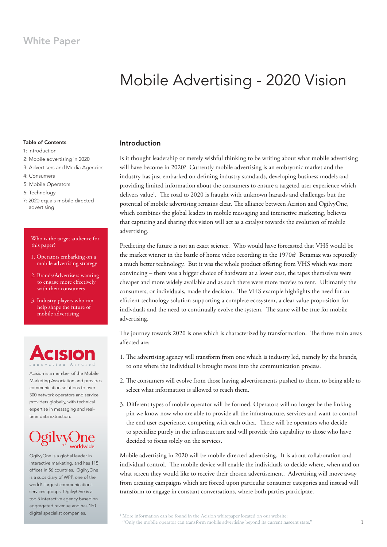# White Paper

# Mobile Advertising - 2020 Vision

## Table of Contents

- 1: Introduction
- 2: Mobile advertising in 2020
- 3: Advertisers and Media Agencies
- 4: Consumers
- 5: Mobile Operators
- 6: Technology
- 7: 2020 equals mobile directed advertising

#### Who is the target audience for this paper?

- 1. Operators embarking on a mobile advertising strategy
- 2. Brands/Advertisers wanting to engage more efectively with their consumers
- 3. Industry players who can help shape the future of mobile advertising

# SO Innovation Assured

Acision is a member of the Mobile Marketing Association and provides communication solutions to over 300 network operators and service providers globally, with technical expertise in messaging and realtime data extraction.

# gilvv

OgilvyOne is a global leader in interactive marketing, and has 115 offices in 56 countries. OgilvyOne is a subsidiary of WPP, one of the world's largest communications services groups. OgilvyOne is a top 5 interactive agency based on aggregated revenue and has 150 digital specialist companies.

# Introduction

Is it thought leadership or merely wishful thinking to be writing about what mobile advertising will have become in 2020? Currently mobile advertising is an embryonic market and the industry has just embarked on defining industry standards, developing business models and providing limited information about the consumers to ensure a targeted user experience which delivers value<sup>1</sup>. The road to 2020 is fraught with unknown hazards and challenges but the potential of mobile advertising remains clear. The alliance between Acision and OgilvyOne, which combines the global leaders in mobile messaging and interactive marketing, believes that capturing and sharing this vision will act as a catalyst towards the evolution of mobile advertising.

Predicting the future is not an exact science. Who would have forecasted that VHS would be the market winner in the battle of home video recording in the 1970s? Betamax was reputedly a much better technology. But it was the whole product ofering from VHS which was more convincing – there was a bigger choice of hardware at a lower cost, the tapes themselves were cheaper and more widely available and as such there were more movies to rent. Ultimately the consumers, or individuals, made the decision. The VHS example highlights the need for an efficient technology solution supporting a complete ecosystem, a clear value proposition for indivduals and the need to continually evolve the system. The same will be true for mobile advertising.

The journey towards 2020 is one which is characterized by transformation. The three main areas afected are:

- 1. he advertising agency will transform from one which is industry led, namely by the brands, to one where the individual is brought more into the communication process.
- 2. he consumers will evolve from those having advertisements pushed to them, to being able to select what information is allowed to reach them.
- 3. Diferent types of mobile operator will be formed. Operators will no longer be the linking pin we know now who are able to provide all the infrastructure, services and want to control the end user experience, competing with each other. There will be operators who decide to specialize purely in the infrastructure and will provide this capability to those who have decided to focus solely on the services.

Mobile advertising in 2020 will be mobile directed advertising. It is about collaboration and individual control. The mobile device will enable the individuals to decide where, when and on what screen they would like to receive their chosen advertisement. Advertising will move away from creating campaigns which are forced upon particular consumer categories and instead will transform to engage in constant conversations, where both parties participate.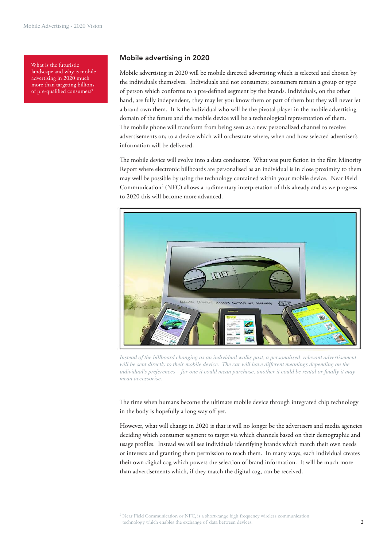What is the futuristic landscape and why is mobile advertising in 2020 much more than targeting billions of pre-qualified consumers?

### Mobile advertising in 2020

Mobile advertising in 2020 will be mobile directed advertising which is selected and chosen by the individuals themselves. Individuals and not consumers; consumers remain a group or type of person which conforms to a pre-deined segment by the brands. Individuals, on the other hand, are fully independent, they may let you know them or part of them but they will never let a brand own them. It is the individual who will be the pivotal player in the mobile advertising domain of the future and the mobile device will be a technological representation of them. The mobile phone will transform from being seen as a new personalized channel to receive advertisements on; to a device which will orchestrate where, when and how selected advertiser's information will be delivered.

The mobile device will evolve into a data conductor. What was pure fiction in the film Minority Report where electronic billboards are personalised as an individual is in close proximity to them may well be possible by using the technology contained within your mobile device. Near Field Communication<sup>2</sup> (NFC) allows a rudimentary interpretation of this already and as we progress to 2020 this will become more advanced.



*Instead of the billboard changing as an individual walks past, a personalised, relevant advertisement*  will be sent directly to their mobile device. The car will have different meanings depending on the *individual's preferences – for one it could mean purchase, another it could be rental or inally it may mean accessorise.* 

The time when humans become the ultimate mobile device through integrated chip technology in the body is hopefully a long way off yet.

However, what will change in 2020 is that it will no longer be the advertisers and media agencies deciding which consumer segment to target via which channels based on their demographic and usage profiles. Instead we will see individuals identifying brands which match their own needs or interests and granting them permission to reach them. In many ways, each individual creates their own digital cog which powers the selection of brand information. It will be much more than advertisements which, if they match the digital cog, can be received.

<sup>2</sup> Near Field Communication or NFC, is a short-range high frequency wireless communication technology which enables the exchange of data between devices.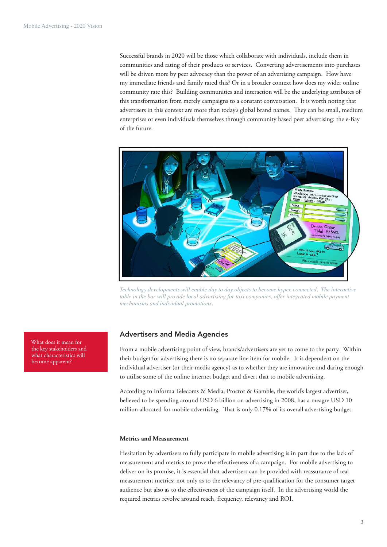Successful brands in 2020 will be those which collaborate with individuals, include them in communities and rating of their products or services. Converting advertisements into purchases will be driven more by peer advocacy than the power of an advertising campaign. How have my immediate friends and family rated this? Or in a broader context how does my wider online community rate this? Building communities and interaction will be the underlying attributes of this transformation from merely campaigns to a constant conversation. It is worth noting that advertisers in this context are more than today's global brand names. They can be small, medium enterprises or even individuals themselves through community based peer advertising: the e-Bay of the future.



*Technology developments will enable day to day objects to become hyper-connected. The interactive table in the bar will provide local advertising for taxi companies, offer integrated mobile payment mechanisms and individual promotions.* 

# Advertisers and Media Agencies

From a mobile advertising point of view, brands/advertisers are yet to come to the party. Within their budget for advertising there is no separate line item for mobile. It is dependent on the individual advertiser (or their media agency) as to whether they are innovative and daring enough to utilise some of the online internet budget and divert that to mobile advertising.

According to Informa Telecoms & Media, Proctor & Gamble, the world's largest advertiser, believed to be spending around USD 6 billion on advertising in 2008, has a meagre USD 10 million allocated for mobile advertising. That is only 0.17% of its overall advertising budget.

#### **Metrics and Measurement**

Hesitation by advertisers to fully participate in mobile advertising is in part due to the lack of measurement and metrics to prove the efectiveness of a campaign. For mobile advertising to deliver on its promise, it is essential that advertisers can be provided with reassurance of real measurement metrics; not only as to the relevancy of pre-qualification for the consumer target audience but also as to the efectiveness of the campaign itself. In the advertising world the required metrics revolve around reach, frequency, relevancy and ROI.

What does it mean for the key stakeholders and what characteristics will become apparent?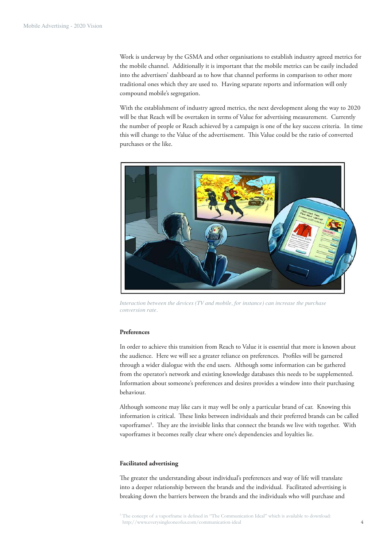Work is underway by the GSMA and other organisations to establish industry agreed metrics for the mobile channel. Additionally it is important that the mobile metrics can be easily included into the advertisers' dashboard as to how that channel performs in comparison to other more traditional ones which they are used to. Having separate reports and information will only compound mobile's segregation.

With the establishment of industry agreed metrics, the next development along the way to 2020 will be that Reach will be overtaken in terms of Value for advertising measurement. Currently the number of people or Reach achieved by a campaign is one of the key success criteria. In time this will change to the Value of the advertisement. This Value could be the ratio of converted purchases or the like.



*Interaction between the devices (TV and mobile, for instance) can increase the purchase conversion rate.* 

#### **Preferences**

In order to achieve this transition from Reach to Value it is essential that more is known about the audience. Here we will see a greater reliance on preferences. Profiles will be garnered through a wider dialogue with the end users. Although some information can be gathered from the operator's network and existing knowledge databases this needs to be supplemented. Information about someone's preferences and desires provides a window into their purchasing behaviour.

Although someone may like cars it may well be only a particular brand of car. Knowing this information is critical. These links between individuals and their preferred brands can be called vaporframes<sup>3</sup>. They are the invisible links that connect the brands we live with together. With vaporframes it becomes really clear where one's dependencies and loyalties lie.

#### **Facilitated advertising**

he greater the understanding about individual's preferences and way of life will translate into a deeper relationship between the brands and the individual. Facilitated advertising is breaking down the barriers between the brands and the individuals who will purchase and

<sup>&</sup>lt;sup>3</sup> The concept of a vaporframe is defined in "The Communication Ideal" which is available to download: http://www.everysingleoneofus.com/communication-ideal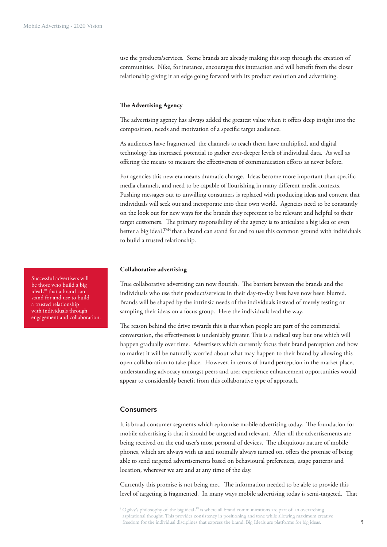use the products/services. Some brands are already making this step through the creation of communities. Nike, for instance, encourages this interaction and will benefit from the closer relationship giving it an edge going forward with its product evolution and advertising.

#### **he Advertising Agency**

The advertising agency has always added the greatest value when it offers deep insight into the composition, needs and motivation of a specific target audience.

As audiences have fragmented, the channels to reach them have multiplied, and digital technology has increased potential to gather ever-deeper levels of individual data. As well as ofering the means to measure the efectiveness of communication eforts as never before.

For agencies this new era means dramatic change. Ideas become more important than speciic media channels, and need to be capable of lourishing in many diferent media contexts. Pushing messages out to unwilling consumers is replaced with producing ideas and content that individuals will seek out and incorporate into their own world. Agencies need to be constantly on the look out for new ways for the brands they represent to be relevant and helpful to their target customers. The primary responsibility of the agency is to articulate a big idea or even better a big ideaL<sup>TM4</sup> that a brand can stand for and to use this common ground with individuals to build a trusted relationship.

#### **Collaborative advertising**

True collaborative advertising can now flourish. The barriers between the brands and the individuals who use their product/services in their day-to-day lives have now been blurred. Brands will be shaped by the intrinsic needs of the individuals instead of merely testing or sampling their ideas on a focus group. Here the individuals lead the way.

The reason behind the drive towards this is that when people are part of the commercial conversation, the effectiveness is undeniably greater. This is a radical step but one which will happen gradually over time. Advertisers which currently focus their brand perception and how to market it will be naturally worried about what may happen to their brand by allowing this open collaboration to take place. However, in terms of brand perception in the market place, understanding advocacy amongst peers and user experience enhancement opportunities would appear to considerably benefit from this collaborative type of approach.

# Consumers

It is broad consumer segments which epitomise mobile advertising today. The foundation for mobile advertising is that it should be targeted and relevant. After-all the advertisements are being received on the end user's most personal of devices. The ubiquitous nature of mobile phones, which are always with us and normally always turned on, ofers the promise of being able to send targeted advertisements based on behavioural preferences, usage patterns and location, wherever we are and at any time of the day.

Currently this promise is not being met. The information needed to be able to provide this level of targeting is fragmented. In many ways mobile advertising today is semi-targeted. That

Successful advertisers will be those who build a big ideaL™ that a brand can stand for and use to build a trusted relationship with individuals through engagement and collaboration.

<sup>4</sup> Ogilvy's philosophy of the big ideaL™ is where all brand communications are part of an overarching aspirational thought. This provides consistency in positioning and tone while allowing maximum creative freedom for the individual disciplines that express the brand. Big Ideals are platforms for big ideas.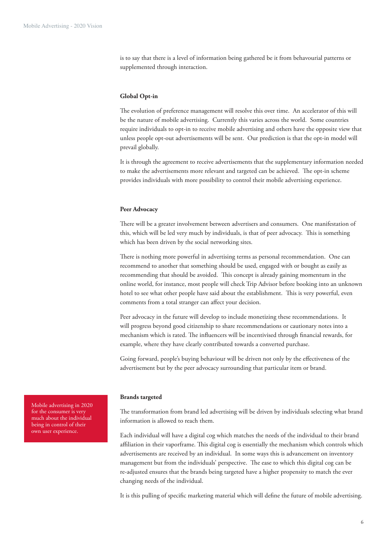is to say that there is a level of information being gathered be it from behavourial patterns or supplemented through interaction.

#### **Global Opt-in**

The evolution of preference management will resolve this over time. An accelerator of this will be the nature of mobile advertising. Currently this varies across the world. Some countries require individuals to opt-in to receive mobile advertising and others have the opposite view that unless people opt-out advertisements will be sent. Our prediction is that the opt-in model will prevail globally.

It is through the agreement to receive advertisements that the supplementary information needed to make the advertisements more relevant and targeted can be achieved. The opt-in scheme provides individuals with more possibility to control their mobile advertising experience.

#### **Peer Advocacy**

here will be a greater involvement between advertisers and consumers. One manifestation of this, which will be led very much by individuals, is that of peer advocacy. This is something which has been driven by the social networking sites.

here is nothing more powerful in advertising terms as personal recommendation. One can recommend to another that something should be used, engaged with or bought as easily as recommending that should be avoided. This concept is already gaining momentum in the online world, for instance, most people will check Trip Advisor before booking into an unknown hotel to see what other people have said about the establishment. This is very powerful, even comments from a total stranger can affect your decision.

Peer advocacy in the future will develop to include monetizing these recommendations. It will progress beyond good citizenship to share recommendations or cautionary notes into a mechanism which is rated. The influencers will be incentivised through financial rewards, for example, where they have clearly contributed towards a converted purchase.

Going forward, people's buying behaviour will be driven not only by the efectiveness of the advertisement but by the peer advocacy surrounding that particular item or brand.

#### **Brands targeted**

he transformation from brand led advertising will be driven by individuals selecting what brand information is allowed to reach them.

Each individual will have a digital cog which matches the needs of the individual to their brand affiliation in their vaporframe. This digital cog is essentially the mechanism which controls which advertisements are received by an individual. In some ways this is advancement on inventory management but from the individuals' perspective. The ease to which this digital cog can be re-adjusted ensures that the brands being targeted have a higher propensity to match the ever changing needs of the individual.

It is this pulling of specific marketing material which will define the future of mobile advertising.

Mobile advertising in 2020 for the consumer is very much about the individual being in control of their own user experience.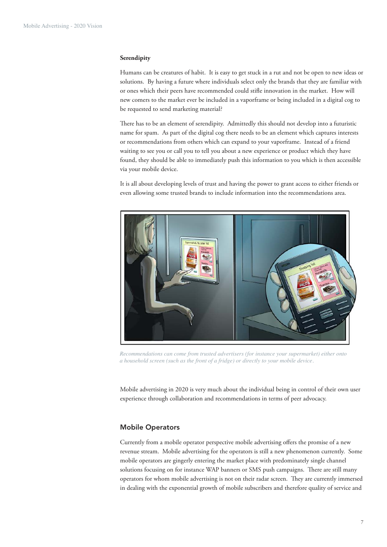#### **Serendipity**

Humans can be creatures of habit. It is easy to get stuck in a rut and not be open to new ideas or solutions. By having a future where individuals select only the brands that they are familiar with or ones which their peers have recommended could stile innovation in the market. How will new comers to the market ever be included in a vaporframe or being included in a digital cog to be requested to send marketing material?

here has to be an element of serendipity. Admittedly this should not develop into a futuristic name for spam. As part of the digital cog there needs to be an element which captures interests or recommendations from others which can expand to your vaporframe. Instead of a friend waiting to see you or call you to tell you about a new experience or product which they have found, they should be able to immediately push this information to you which is then accessible via your mobile device.

It is all about developing levels of trust and having the power to grant access to either friends or even allowing some trusted brands to include information into the recommendations area.



*Recommendations can come from trusted advertisers (for instance your supermarket) either onto a household screen (such as the front of a fridge) or directly to your mobile device.* 

Mobile advertising in 2020 is very much about the individual being in control of their own user experience through collaboration and recommendations in terms of peer advocacy.

## Mobile Operators

Currently from a mobile operator perspective mobile advertising ofers the promise of a new revenue stream. Mobile advertising for the operators is still a new phenomenon currently. Some mobile operators are gingerly entering the market place with predominately single channel solutions focusing on for instance WAP banners or SMS push campaigns. There are still many operators for whom mobile advertising is not on their radar screen. They are currently immersed in dealing with the exponential growth of mobile subscribers and therefore quality of service and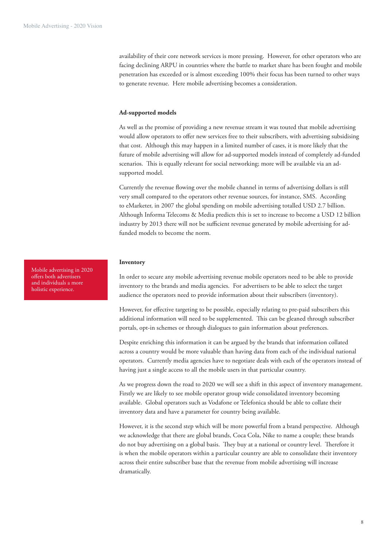availability of their core network services is more pressing. However, for other operators who are facing declining ARPU in countries where the battle to market share has been fought and mobile penetration has exceeded or is almost exceeding 100% their focus has been turned to other ways to generate revenue. Here mobile advertising becomes a consideration.

#### **Ad-supported models**

As well as the promise of providing a new revenue stream it was touted that mobile advertising would allow operators to ofer new services free to their subscribers, with advertising subsidising that cost. Although this may happen in a limited number of cases, it is more likely that the future of mobile advertising will allow for ad-supported models instead of completely ad-funded scenarios. This is equally relevant for social networking; more will be available via an adsupported model.

Currently the revenue flowing over the mobile channel in terms of advertising dollars is still very small compared to the operators other revenue sources, for instance, SMS. According to eMarketer, in 2007 the global spending on mobile advertising totalled USD 2.7 billion. Although Informa Telecoms & Media predicts this is set to increase to become a USD 12 billion industry by 2013 there will not be sufficient revenue generated by mobile advertising for adfunded models to become the norm.

#### **Inventory**

In order to secure any mobile advertising revenue mobile operators need to be able to provide inventory to the brands and media agencies. For advertisers to be able to select the target audience the operators need to provide information about their subscribers (inventory).

However, for efective targeting to be possible, especially relating to pre-paid subscribers this additional information will need to be supplemented. This can be gleaned through subscriber portals, opt-in schemes or through dialogues to gain information about preferences.

Despite enriching this information it can be argued by the brands that information collated across a country would be more valuable than having data from each of the individual national operators. Currently media agencies have to negotiate deals with each of the operators instead of having just a single access to all the mobile users in that particular country.

As we progress down the road to 2020 we will see a shift in this aspect of inventory management. Firstly we are likely to see mobile operator group wide consolidated inventory becoming available. Global operators such as Vodafone or Telefonica should be able to collate their inventory data and have a parameter for country being available.

However, it is the second step which will be more powerful from a brand perspective. Although we acknowledge that there are global brands, Coca Cola, Nike to name a couple; these brands do not buy advertising on a global basis. They buy at a national or country level. Therefore it is when the mobile operators within a particular country are able to consolidate their inventory across their entire subscriber base that the revenue from mobile advertising will increase dramatically.

Mobile advertising in 2020 ofers both advertisers and individuals a more holistic experience.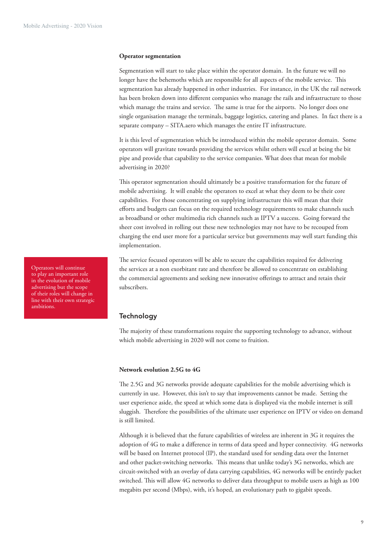#### **Operator segmentation**

Segmentation will start to take place within the operator domain. In the future we will no longer have the behemoths which are responsible for all aspects of the mobile service. This segmentation has already happened in other industries. For instance, in the UK the rail network has been broken down into diferent companies who manage the rails and infrastructure to those which manage the trains and service. The same is true for the airports. No longer does one single organisation manage the terminals, baggage logistics, catering and planes. In fact there is a separate company – SITA.aero which manages the entire IT infrastructure.

It is this level of segmentation which be introduced within the mobile operator domain. Some operators will gravitate towards providing the services whilst others will excel at being the bit pipe and provide that capability to the service companies. What does that mean for mobile advertising in 2020?

his operator segmentation should ultimately be a positive transformation for the future of mobile advertising. It will enable the operators to excel at what they deem to be their core capabilities. For those concentrating on supplying infrastructure this will mean that their eforts and budgets can focus on the required technology requirements to make channels such as broadband or other multimedia rich channels such as IPTV a success. Going forward the sheer cost involved in rolling out these new technologies may not have to be recouped from charging the end user more for a particular service but governments may well start funding this implementation.

he service focused operators will be able to secure the capabilities required for delivering the services at a non exorbitant rate and therefore be allowed to concentrate on establishing the commercial agreements and seeking new innovative offerings to attract and retain their subscribers.

# **Technology**

he majority of these transformations require the supporting technology to advance, without which mobile advertising in 2020 will not come to fruition.

#### **Network evolution 2.5G to 4G**

he 2.5G and 3G networks provide adequate capabilities for the mobile advertising which is currently in use. However, this isn't to say that improvements cannot be made. Setting the user experience aside, the speed at which some data is displayed via the mobile internet is still sluggish. Therefore the possibilities of the ultimate user experience on IPTV or video on demand is still limited.

Although it is believed that the future capabilities of wireless are inherent in 3G it requires the adoption of 4G to make a diference in terms of data speed and hyper connectivity. 4G networks will be based on Internet protocol (IP), the standard used for sending data over the Internet and other packet-switching networks. This means that unlike today's 3G networks, which are circuit-switched with an overlay of data carrying capabilities, 4G networks will be entirely packet switched. This will allow 4G networks to deliver data throughput to mobile users as high as 100 megabits per second (Mbps), with, it's hoped, an evolutionary path to gigabit speeds.

Operators will continue to play an important role in the evolution of mobile advertising but the scope of their roles will change in line with their own strategic ambitions.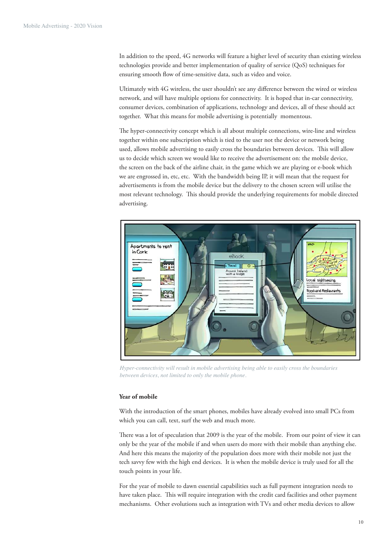In addition to the speed, 4G networks will feature a higher level of security than existing wireless technologies provide and better implementation of quality of service (QoS) techniques for ensuring smooth flow of time-sensitive data, such as video and voice.

Ultimately with 4G wireless, the user shouldn't see any diference between the wired or wireless network, and will have multiple options for connectivity. It is hoped that in-car connectivity, consumer devices, combination of applications, technology and devices, all of these should act together. What this means for mobile advertising is potentially momentous.

The hyper-connectivity concept which is all about multiple connections, wire-line and wireless together within one subscription which is tied to the user not the device or network being used, allows mobile advertising to easily cross the boundaries between devices. This will allow us to decide which screen we would like to receive the advertisement on: the mobile device, the screen on the back of the airline chair, in the game which we are playing or e-book which we are engrossed in, etc, etc. With the bandwidth being IP, it will mean that the request for advertisements is from the mobile device but the delivery to the chosen screen will utilise the most relevant technology. This should provide the underlying requirements for mobile directed advertising.



*Hyper-connectivity will result in mobile advertising being able to easily cross the boundaries between devices, not limited to only the mobile phone.* 

# **Year of mobile**

With the introduction of the smart phones, mobiles have already evolved into small PCs from which you can call, text, surf the web and much more.

here was a lot of speculation that 2009 is the year of the mobile. From our point of view it can only be the year of the mobile if and when users do more with their mobile than anything else. And here this means the majority of the population does more with their mobile not just the tech savvy few with the high end devices. It is when the mobile device is truly used for all the touch points in your life.

For the year of mobile to dawn essential capabilities such as full payment integration needs to have taken place. This will require integration with the credit card facilities and other payment mechanisms. Other evolutions such as integration with TVs and other media devices to allow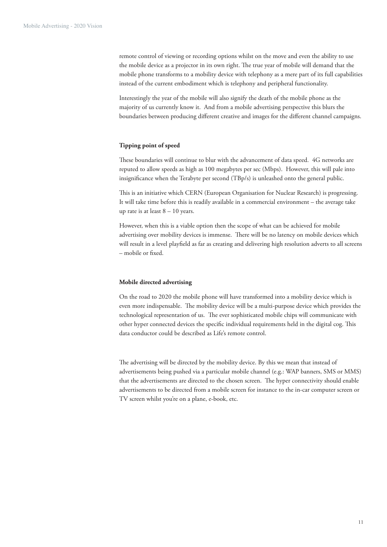remote control of viewing or recording options whilst on the move and even the ability to use the mobile device as a projector in its own right. The true year of mobile will demand that the mobile phone transforms to a mobility device with telephony as a mere part of its full capabilities instead of the current embodiment which is telephony and peripheral functionality.

Interestingly the year of the mobile will also signify the death of the mobile phone as the majority of us currently know it. And from a mobile advertising perspective this blurs the boundaries between producing diferent creative and images for the diferent channel campaigns.

#### **Tipping point of speed**

These boundaries will continue to blur with the advancement of data speed. 4G networks are reputed to allow speeds as high as 100 megabytes per sec (Mbps). However, this will pale into insignificance when the Terabyte per second (TBp/s) is unleashed onto the general public.

his is an initiative which CERN (European Organisation for Nuclear Research) is progressing. It will take time before this is readily available in a commercial environment – the average take up rate is at least 8 – 10 years.

However, when this is a viable option then the scope of what can be achieved for mobile advertising over mobility devices is immense. There will be no latency on mobile devices which will result in a level playfield as far as creating and delivering high resolution adverts to all screens – mobile or fixed.

#### **Mobile directed advertising**

On the road to 2020 the mobile phone will have transformed into a mobility device which is even more indispensable. The mobility device will be a multi-purpose device which provides the technological representation of us. The ever sophisticated mobile chips will communicate with other hyper connected devices the specific individual requirements held in the digital cog. This data conductor could be described as Life's remote control.

The advertising will be directed by the mobility device. By this we mean that instead of advertisements being pushed via a particular mobile channel (e.g.: WAP banners, SMS or MMS) that the advertisements are directed to the chosen screen. The hyper connectivity should enable advertisements to be directed from a mobile screen for instance to the in-car computer screen or TV screen whilst you're on a plane, e-book, etc.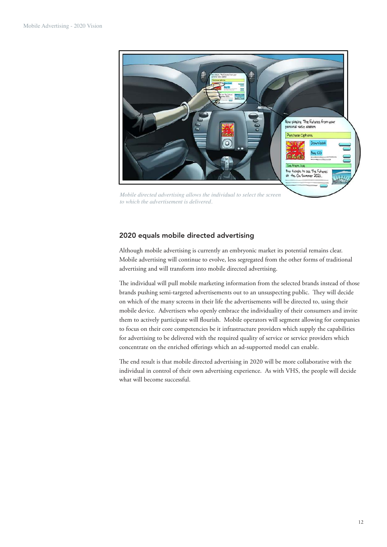

*Mobile directed advertising allows the individual to select the screen to which the advertisement is delivered.* 

# 2020 equals mobile directed advertising

Although mobile advertising is currently an embryonic market its potential remains clear. Mobile advertising will continue to evolve, less segregated from the other forms of traditional advertising and will transform into mobile directed advertising.

he individual will pull mobile marketing information from the selected brands instead of those brands pushing semi-targeted advertisements out to an unsuspecting public. They will decide on which of the many screens in their life the advertisements will be directed to, using their mobile device. Advertisers who openly embrace the individuality of their consumers and invite them to actively participate will flourish. Mobile operators will segment allowing for companies to focus on their core competencies be it infrastructure providers which supply the capabilities for advertising to be delivered with the required quality of service or service providers which concentrate on the enriched offerings which an ad-supported model can enable.

he end result is that mobile directed advertising in 2020 will be more collaborative with the individual in control of their own advertising experience. As with VHS, the people will decide what will become successful.